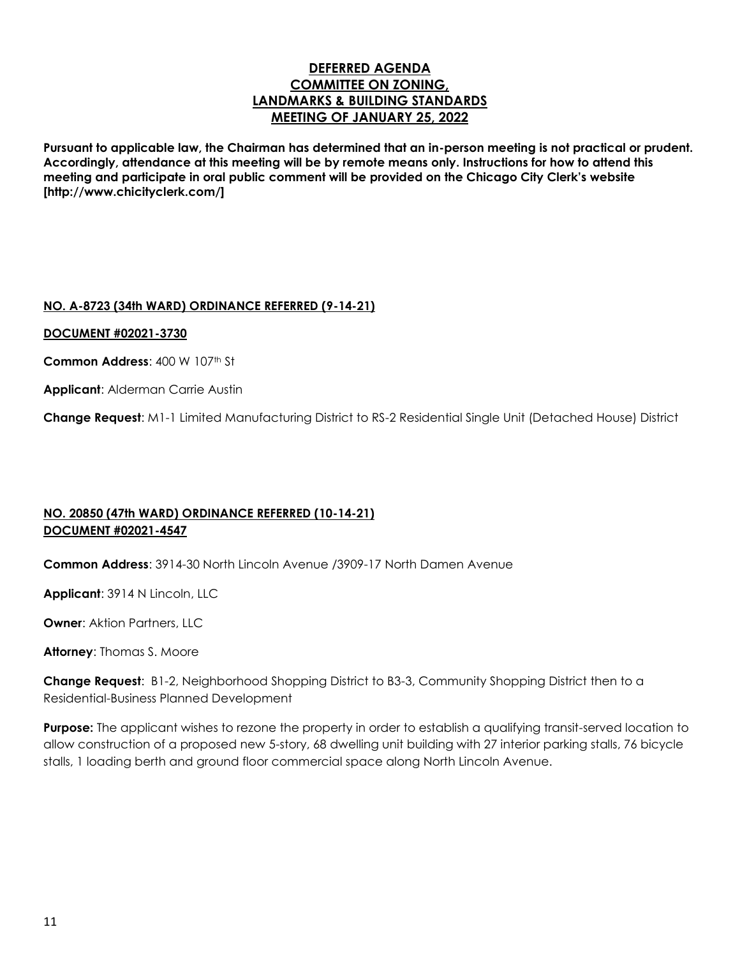# **DEFERRED AGENDA COMMITTEE ON ZONING, LANDMARKS & BUILDING STANDARDS MEETING OF JANUARY 25, 2022**

**Pursuant to applicable law, the Chairman has determined that an in-person meeting is not practical or prudent. Accordingly, attendance at this meeting will be by remote means only. Instructions for how to attend this meeting and participate in oral public comment will be provided on the Chicago City Clerk's website [http://www.chicityclerk.com/]**

## **NO. A-8723 (34th WARD) ORDINANCE REFERRED (9-14-21)**

#### **DOCUMENT #02021-3730**

Common Address: 400 W 107th St

**Applicant**: Alderman Carrie Austin

**Change Request**: M1-1 Limited Manufacturing District to RS-2 Residential Single Unit (Detached House) District

# **NO. 20850 (47th WARD) ORDINANCE REFERRED (10-14-21) DOCUMENT #02021-4547**

**Common Address**: 3914-30 North Lincoln Avenue /3909-17 North Damen Avenue

**Applicant**: 3914 N Lincoln, LLC

**Owner**: Aktion Partners, LLC

**Attorney**: Thomas S. Moore

**Change Request**: B1-2, Neighborhood Shopping District to B3-3, Community Shopping District then to a Residential-Business Planned Development

**Purpose:** The applicant wishes to rezone the property in order to establish a qualifying transit-served location to allow construction of a proposed new 5-story, 68 dwelling unit building with 27 interior parking stalls, 76 bicycle stalls, 1 loading berth and ground floor commercial space along North Lincoln Avenue.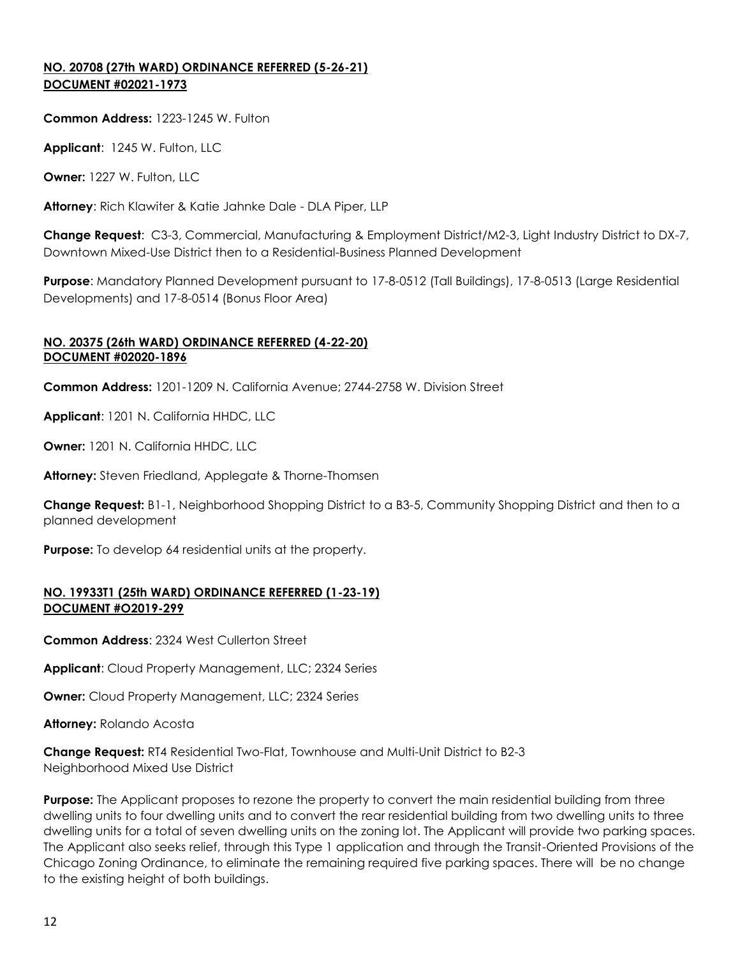## **NO. 20708 (27th WARD) ORDINANCE REFERRED (5-26-21) DOCUMENT #02021-1973**

### **Common Address:** 1223-1245 W. Fulton

**Applicant**: 1245 W. Fulton, LLC

**Owner:** 1227 W. Fulton, LLC

**Attorney**: Rich Klawiter & Katie Jahnke Dale - DLA Piper, LLP

**Change Request**: C3-3, Commercial, Manufacturing & Employment District/M2-3, Light Industry District to DX-7, Downtown Mixed-Use District then to a Residential-Business Planned Development

**Purpose**: Mandatory Planned Development pursuant to 17-8-0512 (Tall Buildings), 17-8-0513 (Large Residential Developments) and 17-8-0514 (Bonus Floor Area)

### **NO. 20375 (26th WARD) ORDINANCE REFERRED (4-22-20) DOCUMENT #02020-1896**

**Common Address:** 1201-1209 N. California Avenue; 2744-2758 W. Division Street

**Applicant**: 1201 N. California HHDC, LLC

**Owner:** 1201 N. California HHDC, LLC

**Attorney:** Steven Friedland, Applegate & Thorne-Thomsen

**Change Request:** B1-1, Neighborhood Shopping District to a B3-5, Community Shopping District and then to a planned development

**Purpose:** To develop 64 residential units at the property.

### **NO. 19933T1 (25th WARD) ORDINANCE REFERRED (1-23-19) DOCUMENT #O2019-299**

**Common Address**: 2324 West Cullerton Street

**Applicant**: Cloud Property Management, LLC; 2324 Series

**Owner:** Cloud Property Management, LLC; 2324 Series

**Attorney:** Rolando Acosta

**Change Request:** RT4 Residential Two-Flat, Townhouse and Multi-Unit District to B2-3 Neighborhood Mixed Use District

**Purpose:** The Applicant proposes to rezone the property to convert the main residential building from three dwelling units to four dwelling units and to convert the rear residential building from two dwelling units to three dwelling units for a total of seven dwelling units on the zoning lot. The Applicant will provide two parking spaces. The Applicant also seeks relief, through this Type 1 application and through the Transit-Oriented Provisions of the Chicago Zoning Ordinance, to eliminate the remaining required five parking spaces. There will be no change to the existing height of both buildings.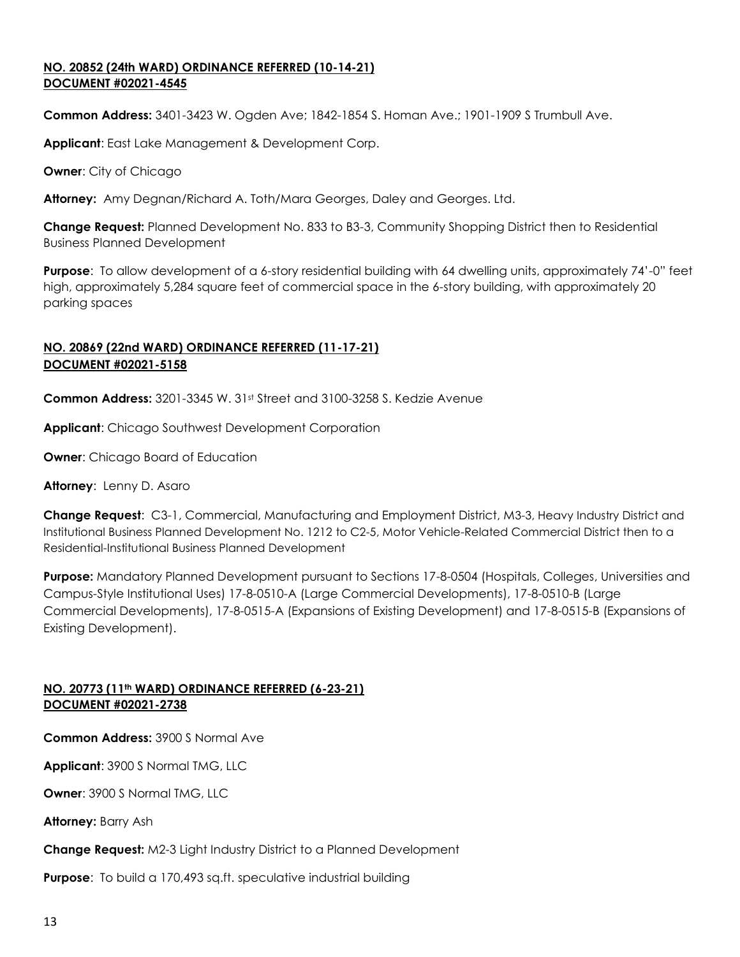### **NO. 20852 (24th WARD) ORDINANCE REFERRED (10-14-21) DOCUMENT #02021-4545**

**Common Address:** 3401-3423 W. Ogden Ave; 1842-1854 S. Homan Ave.; 1901-1909 S Trumbull Ave.

**Applicant**: East Lake Management & Development Corp.

**Owner**: City of Chicago

**Attorney:** Amy Degnan/Richard A. Toth/Mara Georges, Daley and Georges. Ltd.

**Change Request:** Planned Development No. 833 to B3-3, Community Shopping District then to Residential Business Planned Development

**Purpose**: To allow development of a 6-story residential building with 64 dwelling units, approximately 74'-0" feet high, approximately 5,284 square feet of commercial space in the 6-story building, with approximately 20 parking spaces

# **NO. 20869 (22nd WARD) ORDINANCE REFERRED (11-17-21) DOCUMENT #02021-5158**

**Common Address:** 3201-3345 W. 31<sup>st</sup> Street and 3100-3258 S. Kedzie Avenue

**Applicant**: Chicago Southwest Development Corporation

**Owner:** Chicago Board of Education

**Attorney**: Lenny D. Asaro

**Change Request**: C3-1, Commercial, Manufacturing and Employment District, M3-3, Heavy Industry District and Institutional Business Planned Development No. 1212 to C2-5, Motor Vehicle-Related Commercial District then to a Residential-Institutional Business Planned Development

**Purpose:** Mandatory Planned Development pursuant to Sections 17-8-0504 (Hospitals, Colleges, Universities and Campus-Style Institutional Uses) 17-8-0510-A (Large Commercial Developments), 17-8-0510-B (Large Commercial Developments), 17-8-0515-A (Expansions of Existing Development) and 17-8-0515-B (Expansions of Existing Development).

## **NO. 20773 (11th WARD) ORDINANCE REFERRED (6-23-21) DOCUMENT #02021-2738**

**Common Address:** 3900 S Normal Ave

**Applicant**: 3900 S Normal TMG, LLC

**Owner**: 3900 S Normal TMG, LLC

**Attorney:** Barry Ash

**Change Request:** M2-3 Light Industry District to a Planned Development

**Purpose:** To build a 170,493 sq.ft. speculative industrial building